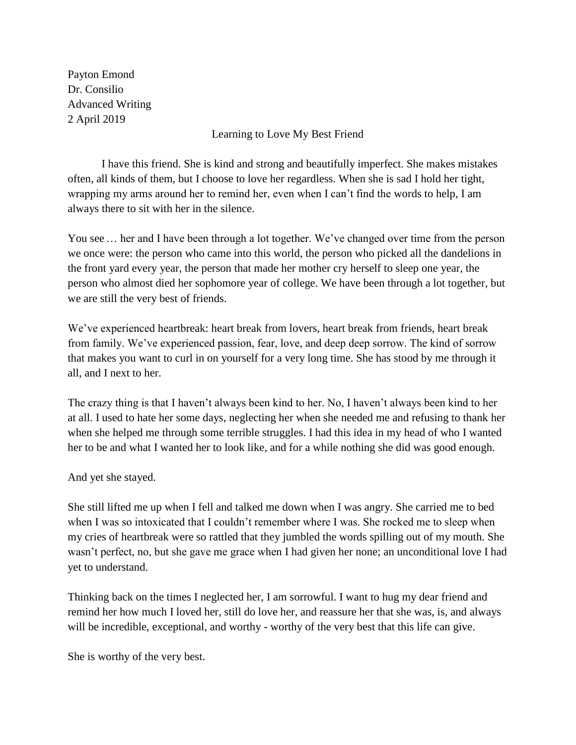Payton Emond Dr. Consilio Advanced Writing 2 April 2019

Learning to Love My Best Friend

 I have this friend. She is kind and strong and beautifully imperfect. She makes mistakes often, all kinds of them, but I choose to love her regardless. When she is sad I hold her tight, wrapping my arms around her to remind her, even when I can't find the words to help, I am always there to sit with her in the silence.

You see ... her and I have been through a lot together. We've changed over time from the person we once were: the person who came into this world, the person who picked all the dandelions in the front yard every year, the person that made her mother cry herself to sleep one year, the person who almost died her sophomore year of college. We have been through a lot together, but we are still the very best of friends.

We've experienced heartbreak: heart break from lovers, heart break from friends, heart break from family. We've experienced passion, fear, love, and deep deep sorrow. The kind of sorrow that makes you want to curl in on yourself for a very long time. She has stood by me through it all, and I next to her.

The crazy thing is that I haven't always been kind to her. No, I haven't always been kind to her at all. I used to hate her some days, neglecting her when she needed me and refusing to thank her when she helped me through some terrible struggles. I had this idea in my head of who I wanted her to be and what I wanted her to look like, and for a while nothing she did was good enough.

## And yet she stayed.

She still lifted me up when I fell and talked me down when I was angry. She carried me to bed when I was so intoxicated that I couldn't remember where I was. She rocked me to sleep when my cries of heartbreak were so rattled that they jumbled the words spilling out of my mouth. She wasn't perfect, no, but she gave me grace when I had given her none; an unconditional love I had yet to understand.

Thinking back on the times I neglected her, I am sorrowful. I want to hug my dear friend and remind her how much I loved her, still do love her, and reassure her that she was, is, and always will be incredible, exceptional, and worthy - worthy of the very best that this life can give.

She is worthy of the very best.